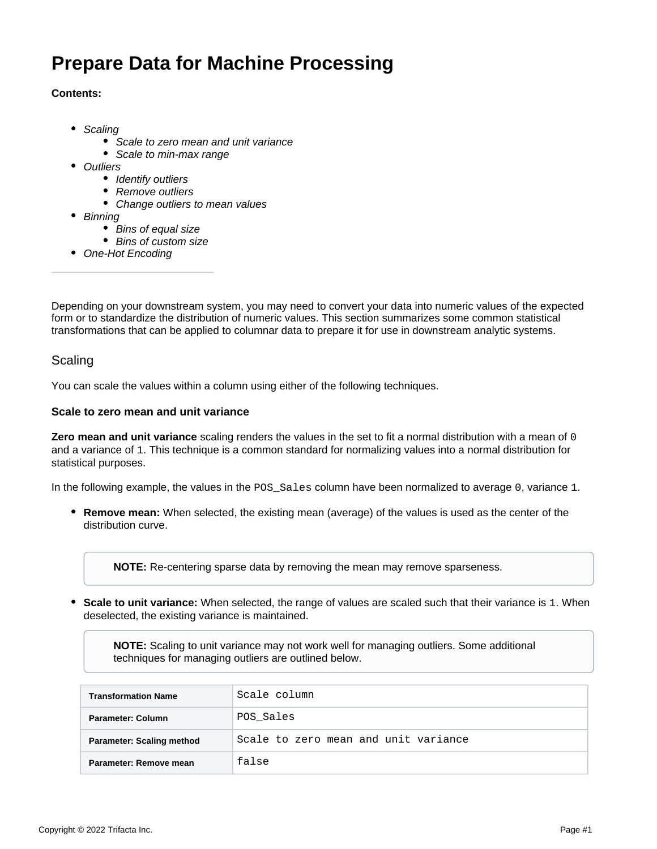# **Prepare Data for Machine Processing**

## **Contents:**

- [Scaling](#page-0-0)
	- [Scale to zero mean and unit variance](#page-0-1)
	- [Scale to min-max range](#page-1-0)
- [Outliers](#page-1-1)
	- [Identify outliers](#page-1-2)
	- [Remove outliers](#page-1-3)
	- [Change outliers to mean values](#page-2-0)
- [Binning](#page-2-1)
	- [Bins of equal size](#page-2-2)
	- [Bins of custom size](#page-2-3)
- [One-Hot Encoding](#page-3-0)

Depending on your downstream system, you may need to convert your data into numeric values of the expected form or to standardize the distribution of numeric values. This section summarizes some common statistical transformations that can be applied to columnar data to prepare it for use in downstream analytic systems.

## <span id="page-0-0"></span>**Scaling**

You can scale the values within a column using either of the following techniques.

### <span id="page-0-1"></span>**Scale to zero mean and unit variance**

**Zero mean and unit variance** scaling renders the values in the set to fit a normal distribution with a mean of 0 and a variance of 1. This technique is a common standard for normalizing values into a normal distribution for statistical purposes.

In the following example, the values in the POS\_Sales column have been normalized to average 0, variance 1.

**Remove mean:** When selected, the existing mean (average) of the values is used as the center of the distribution curve.

**NOTE:** Re-centering sparse data by removing the mean may remove sparseness.

**Scale to unit variance:** When selected, the range of values are scaled such that their variance is 1. When deselected, the existing variance is maintained.

**NOTE:** Scaling to unit variance may not work well for managing outliers. Some additional techniques for managing outliers are outlined below.

| <b>Transformation Name</b>       | Scale column                         |
|----------------------------------|--------------------------------------|
| Parameter: Column                | POS Sales                            |
| <b>Parameter: Scaling method</b> | Scale to zero mean and unit variance |
| Parameter: Remove mean           | false                                |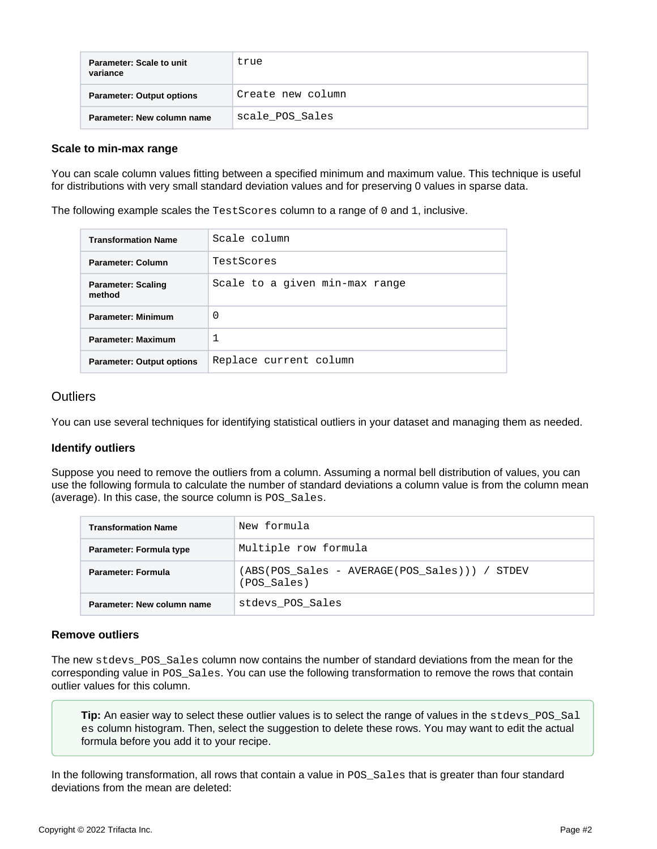| Parameter: Scale to unit<br>variance | true              |
|--------------------------------------|-------------------|
| <b>Parameter: Output options</b>     | Create new column |
| Parameter: New column name           | scale POS Sales   |

#### <span id="page-1-0"></span>**Scale to min-max range**

You can scale column values fitting between a specified minimum and maximum value. This technique is useful for distributions with very small standard deviation values and for preserving 0 values in sparse data.

The following example scales the TestScores column to a range of 0 and 1, inclusive.

| <b>Transformation Name</b>          | Scale column                   |
|-------------------------------------|--------------------------------|
| Parameter: Column                   | TestScores                     |
| <b>Parameter: Scaling</b><br>method | Scale to a given min-max range |
| <b>Parameter: Minimum</b>           | 0                              |
| <b>Parameter: Maximum</b>           | 1                              |
| <b>Parameter: Output options</b>    | Replace current column         |

## <span id="page-1-1"></span>**Outliers**

You can use several techniques for identifying statistical outliers in your dataset and managing them as needed.

## <span id="page-1-2"></span>**Identify outliers**

Suppose you need to remove the outliers from a column. Assuming a normal bell distribution of values, you can use the following formula to calculate the number of standard deviations a column value is from the column mean (average). In this case, the source column is POS\_Sales.

| <b>Transformation Name</b> | New formula                                                  |
|----------------------------|--------------------------------------------------------------|
| Parameter: Formula type    | Multiple row formula                                         |
| Parameter: Formula         | (ABS(POS Sales - AVERAGE(POS Sales))) / STDEV<br>(POS_Sales) |
| Parameter: New column name | stdevs POS Sales                                             |

#### <span id="page-1-3"></span>**Remove outliers**

The new stdevs\_POS\_Sales column now contains the number of standard deviations from the mean for the corresponding value in POS\_Sales. You can use the following transformation to remove the rows that contain outlier values for this column.

**Tip:** An easier way to select these outlier values is to select the range of values in the stdevs\_POS\_Sal es column histogram. Then, select the suggestion to delete these rows. You may want to edit the actual formula before you add it to your recipe.

In the following transformation, all rows that contain a value in POS Sales that is greater than four standard deviations from the mean are deleted: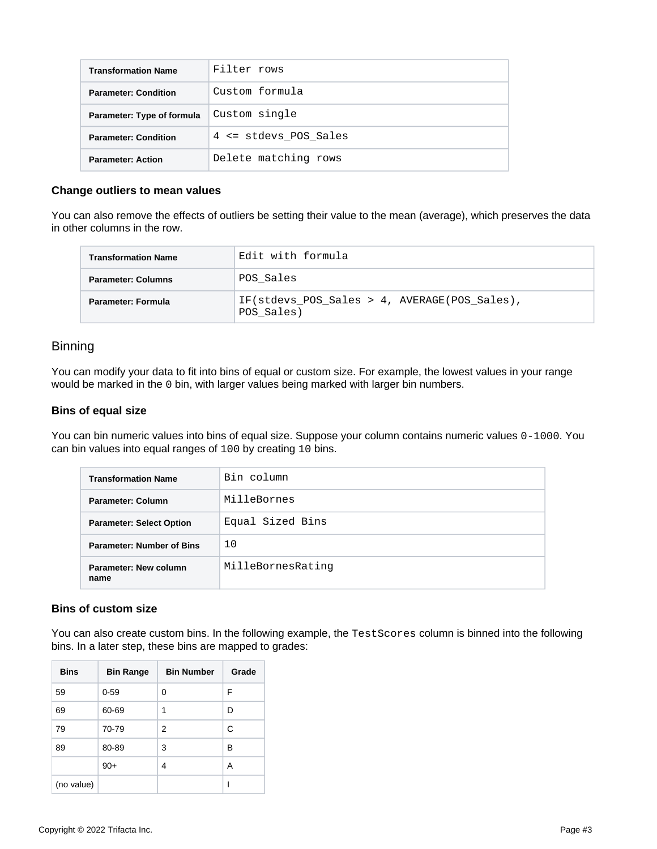| <b>Transformation Name</b>  | Filter rows           |
|-----------------------------|-----------------------|
| <b>Parameter: Condition</b> | Custom formula        |
| Parameter: Type of formula  | Custom single         |
| <b>Parameter: Condition</b> | 4 <= stdevs POS Sales |
| <b>Parameter: Action</b>    | Delete matching rows  |

### <span id="page-2-0"></span>**Change outliers to mean values**

You can also remove the effects of outliers be setting their value to the mean (average), which preserves the data in other columns in the row.

| <b>Transformation Name</b> | Edit with formula                                          |
|----------------------------|------------------------------------------------------------|
| <b>Parameter: Columns</b>  | POS Sales                                                  |
| Parameter: Formula         | IF(stdevs POS Sales > 4, AVERAGE(POS Sales),<br>POS Sales) |

## <span id="page-2-1"></span>**Binning**

You can modify your data to fit into bins of equal or custom size. For example, the lowest values in your range would be marked in the 0 bin, with larger values being marked with larger bin numbers.

#### <span id="page-2-2"></span>**Bins of equal size**

You can bin numeric values into bins of equal size. Suppose your column contains numeric values 0-1000. You can bin values into equal ranges of 100 by creating 10 bins.

| <b>Transformation Name</b>       | Bin column        |
|----------------------------------|-------------------|
| Parameter: Column                | MilleBornes       |
| <b>Parameter: Select Option</b>  | Equal Sized Bins  |
| <b>Parameter: Number of Bins</b> | 10                |
| Parameter: New column<br>name    | MilleBornesRating |

#### <span id="page-2-3"></span>**Bins of custom size**

You can also create custom bins. In the following example, the TestScores column is binned into the following bins. In a later step, these bins are mapped to grades:

| <b>Bins</b> | <b>Bin Range</b> | <b>Bin Number</b> | Grade |
|-------------|------------------|-------------------|-------|
| 59          | $0 - 59$         | 0                 | F     |
| 69          | 60-69            | 1                 | D     |
| 79          | 70-79            | 2                 | C     |
| 89          | 80-89            | 3                 | B     |
|             | $90+$            | 4                 | Α     |
| (no value)  |                  |                   |       |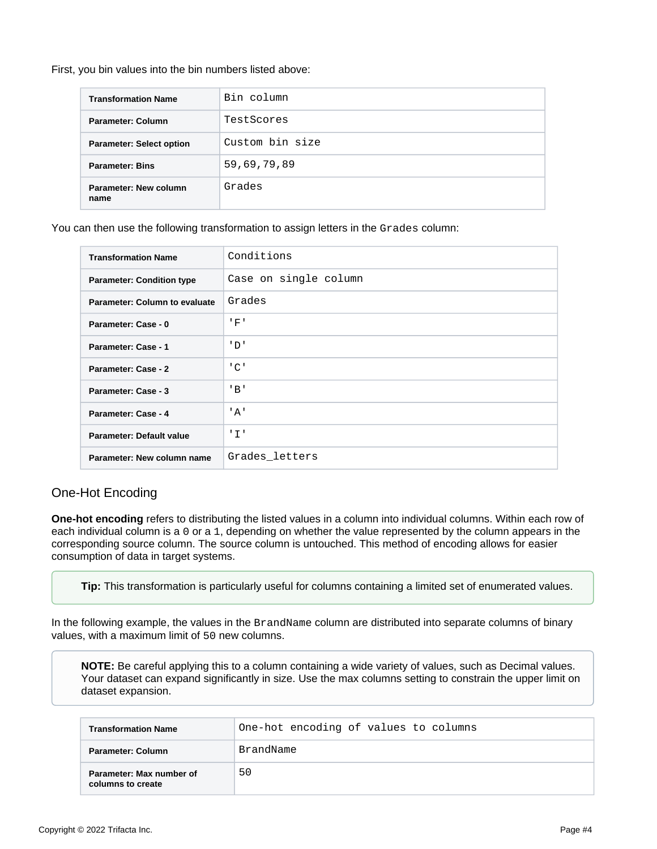#### First, you bin values into the bin numbers listed above:

| <b>Transformation Name</b>      | Bin column      |
|---------------------------------|-----------------|
| Parameter: Column               | TestScores      |
| <b>Parameter: Select option</b> | Custom bin size |
| <b>Parameter: Bins</b>          | 59,69,79,89     |
| Parameter: New column<br>name   | Grades          |

You can then use the following transformation to assign letters in the Grades column:

| <b>Transformation Name</b>           | Conditions                |
|--------------------------------------|---------------------------|
| <b>Parameter: Condition type</b>     | Case on single column     |
| <b>Parameter: Column to evaluate</b> | Grades                    |
| Parameter: Case - 0                  | 'F'                       |
| Parameter: Case - 1                  | ' D'                      |
| Parameter: Case - 2                  | $^{\prime}$ C $^{\prime}$ |
| Parameter: Case - 3                  | $'$ B $'$                 |
| Parameter: Case - 4                  | ' A'                      |
| Parameter: Default value             | ' I '                     |
| Parameter: New column name           | Grades letters            |
|                                      |                           |

# <span id="page-3-0"></span>One-Hot Encoding

**One-hot encoding** refers to distributing the listed values in a column into individual columns. Within each row of each individual column is a 0 or a 1, depending on whether the value represented by the column appears in the corresponding source column. The source column is untouched. This method of encoding allows for easier consumption of data in target systems.

**Tip:** This transformation is particularly useful for columns containing a limited set of enumerated values.

In the following example, the values in the BrandName column are distributed into separate columns of binary values, with a maximum limit of 50 new columns.

**NOTE:** Be careful applying this to a column containing a wide variety of values, such as Decimal values. Your dataset can expand significantly in size. Use the max columns setting to constrain the upper limit on dataset expansion.

| <b>Transformation Name</b>                    | One-hot encoding of values to columns |
|-----------------------------------------------|---------------------------------------|
| Parameter: Column                             | BrandName                             |
| Parameter: Max number of<br>columns to create | 50                                    |